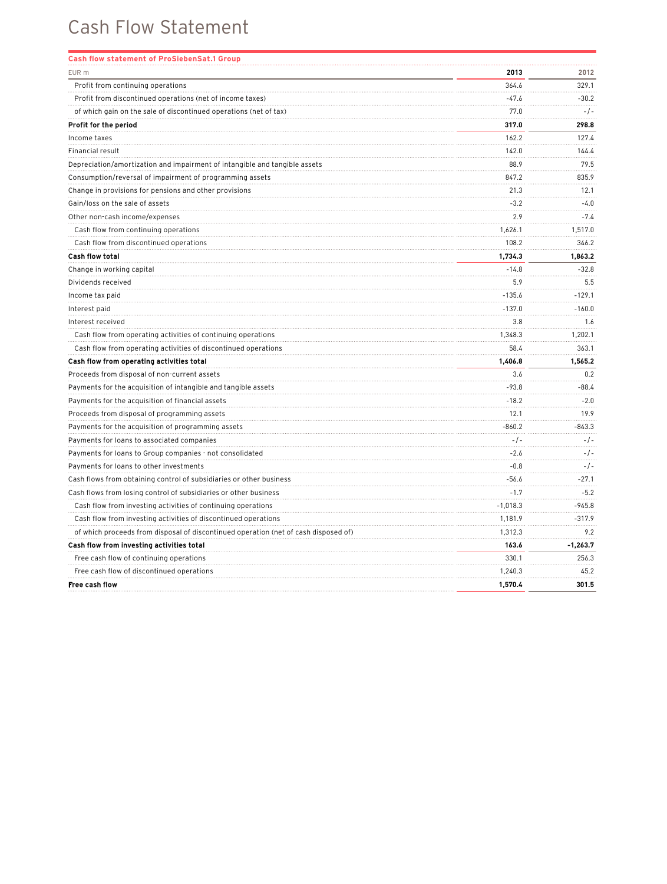| EUR m<br>2013<br>2012<br>364.6<br>329.1<br>Profit from continuing operations<br>$-47.6$<br>$-30.2$<br>Profit from discontinued operations (net of income taxes)<br>77.0<br>$-1$ -<br>of which gain on the sale of discontinued operations (net of tax)<br>317.0<br>298.8<br>Profit for the period<br>127.4<br>Income taxes<br>162.2<br>Financial result<br>142.0<br>144.4<br>Depreciation/amortization and impairment of intangible and tangible assets<br>88.9<br>79.5<br>847.2<br>835.9<br>Consumption/reversal of impairment of programming assets<br>21.3<br>Change in provisions for pensions and other provisions<br>12.1<br>Gain/loss on the sale of assets<br>$-3.2$<br>$-4.0$<br>2.9<br>Other non-cash income/expenses<br>$-7.4$<br>Cash flow from continuing operations<br>1,626.1<br>1,517.0<br>Cash flow from discontinued operations<br>108.2<br>346.2<br>1,734.3<br><b>Cash flow total</b><br>1,863.2<br>Change in working capital<br>$-14.8$<br>$-32.8$<br>5.9<br>5.5<br>Dividends received<br>$-135.6$<br>$-129.1$<br>Income tax paid<br>$-137.0$<br>$-160.0$<br>Interest paid<br>3.8<br>1.6<br>Interest received<br>Cash flow from operating activities of continuing operations<br>1,348.3<br>1,202.1<br>Cash flow from operating activities of discontinued operations<br>58.4<br>363.1<br>Cash flow from operating activities total<br>1,406.8<br>1,565.2<br>Proceeds from disposal of non-current assets<br>3.6<br>0.2<br>Payments for the acquisition of intangible and tangible assets<br>$-93.8$<br>$-88.4$<br>$-18.2$<br>Payments for the acquisition of financial assets<br>$-2.0$<br>12.1<br>19.9<br>Proceeds from disposal of programming assets<br>$-860.2$<br>Payments for the acquisition of programming assets<br>-843.3<br>$-/-$<br>$-/-$<br>Payments for loans to associated companies<br>$-2.6$<br>Payments for loans to Group companies - not consolidated<br>$-/-$<br>Payments for loans to other investments<br>$-0.8$<br>$-/-$<br>$-56.6$<br>$-27.1$<br>Cash flows from obtaining control of subsidiaries or other business<br>$-1.7$<br>$-5.2$<br>Cash flows from losing control of subsidiaries or other business<br>Cash flow from investing activities of continuing operations<br>$-1,018.3$<br>$-945.8$<br>1,181.9<br>Cash flow from investing activities of discontinued operations<br>$-317.9$<br>1,312.3<br>9.2<br>of which proceeds from disposal of discontinued operation (net of cash disposed of)<br>Cash flow from investing activities total<br>163.6<br>$-1,263.7$<br>Free cash flow of continuing operations<br>330.1<br>256.3<br>Free cash flow of discontinued operations<br>45.2<br>1,240.3<br>1,570.4<br><b>Free cash flow</b><br>301.5 | <b>Cash flow statement of ProSiebenSat.1 Group</b> |  |
|------------------------------------------------------------------------------------------------------------------------------------------------------------------------------------------------------------------------------------------------------------------------------------------------------------------------------------------------------------------------------------------------------------------------------------------------------------------------------------------------------------------------------------------------------------------------------------------------------------------------------------------------------------------------------------------------------------------------------------------------------------------------------------------------------------------------------------------------------------------------------------------------------------------------------------------------------------------------------------------------------------------------------------------------------------------------------------------------------------------------------------------------------------------------------------------------------------------------------------------------------------------------------------------------------------------------------------------------------------------------------------------------------------------------------------------------------------------------------------------------------------------------------------------------------------------------------------------------------------------------------------------------------------------------------------------------------------------------------------------------------------------------------------------------------------------------------------------------------------------------------------------------------------------------------------------------------------------------------------------------------------------------------------------------------------------------------------------------------------------------------------------------------------------------------------------------------------------------------------------------------------------------------------------------------------------------------------------------------------------------------------------------------------------------------------------------------------------------------------------------------------------------------------------------------------------------------------------------------------------------------------------------------------------------------------------------------|----------------------------------------------------|--|
|                                                                                                                                                                                                                                                                                                                                                                                                                                                                                                                                                                                                                                                                                                                                                                                                                                                                                                                                                                                                                                                                                                                                                                                                                                                                                                                                                                                                                                                                                                                                                                                                                                                                                                                                                                                                                                                                                                                                                                                                                                                                                                                                                                                                                                                                                                                                                                                                                                                                                                                                                                                                                                                                                                      |                                                    |  |
|                                                                                                                                                                                                                                                                                                                                                                                                                                                                                                                                                                                                                                                                                                                                                                                                                                                                                                                                                                                                                                                                                                                                                                                                                                                                                                                                                                                                                                                                                                                                                                                                                                                                                                                                                                                                                                                                                                                                                                                                                                                                                                                                                                                                                                                                                                                                                                                                                                                                                                                                                                                                                                                                                                      |                                                    |  |
|                                                                                                                                                                                                                                                                                                                                                                                                                                                                                                                                                                                                                                                                                                                                                                                                                                                                                                                                                                                                                                                                                                                                                                                                                                                                                                                                                                                                                                                                                                                                                                                                                                                                                                                                                                                                                                                                                                                                                                                                                                                                                                                                                                                                                                                                                                                                                                                                                                                                                                                                                                                                                                                                                                      |                                                    |  |
|                                                                                                                                                                                                                                                                                                                                                                                                                                                                                                                                                                                                                                                                                                                                                                                                                                                                                                                                                                                                                                                                                                                                                                                                                                                                                                                                                                                                                                                                                                                                                                                                                                                                                                                                                                                                                                                                                                                                                                                                                                                                                                                                                                                                                                                                                                                                                                                                                                                                                                                                                                                                                                                                                                      |                                                    |  |
|                                                                                                                                                                                                                                                                                                                                                                                                                                                                                                                                                                                                                                                                                                                                                                                                                                                                                                                                                                                                                                                                                                                                                                                                                                                                                                                                                                                                                                                                                                                                                                                                                                                                                                                                                                                                                                                                                                                                                                                                                                                                                                                                                                                                                                                                                                                                                                                                                                                                                                                                                                                                                                                                                                      |                                                    |  |
|                                                                                                                                                                                                                                                                                                                                                                                                                                                                                                                                                                                                                                                                                                                                                                                                                                                                                                                                                                                                                                                                                                                                                                                                                                                                                                                                                                                                                                                                                                                                                                                                                                                                                                                                                                                                                                                                                                                                                                                                                                                                                                                                                                                                                                                                                                                                                                                                                                                                                                                                                                                                                                                                                                      |                                                    |  |
|                                                                                                                                                                                                                                                                                                                                                                                                                                                                                                                                                                                                                                                                                                                                                                                                                                                                                                                                                                                                                                                                                                                                                                                                                                                                                                                                                                                                                                                                                                                                                                                                                                                                                                                                                                                                                                                                                                                                                                                                                                                                                                                                                                                                                                                                                                                                                                                                                                                                                                                                                                                                                                                                                                      |                                                    |  |
|                                                                                                                                                                                                                                                                                                                                                                                                                                                                                                                                                                                                                                                                                                                                                                                                                                                                                                                                                                                                                                                                                                                                                                                                                                                                                                                                                                                                                                                                                                                                                                                                                                                                                                                                                                                                                                                                                                                                                                                                                                                                                                                                                                                                                                                                                                                                                                                                                                                                                                                                                                                                                                                                                                      |                                                    |  |
|                                                                                                                                                                                                                                                                                                                                                                                                                                                                                                                                                                                                                                                                                                                                                                                                                                                                                                                                                                                                                                                                                                                                                                                                                                                                                                                                                                                                                                                                                                                                                                                                                                                                                                                                                                                                                                                                                                                                                                                                                                                                                                                                                                                                                                                                                                                                                                                                                                                                                                                                                                                                                                                                                                      |                                                    |  |
|                                                                                                                                                                                                                                                                                                                                                                                                                                                                                                                                                                                                                                                                                                                                                                                                                                                                                                                                                                                                                                                                                                                                                                                                                                                                                                                                                                                                                                                                                                                                                                                                                                                                                                                                                                                                                                                                                                                                                                                                                                                                                                                                                                                                                                                                                                                                                                                                                                                                                                                                                                                                                                                                                                      |                                                    |  |
|                                                                                                                                                                                                                                                                                                                                                                                                                                                                                                                                                                                                                                                                                                                                                                                                                                                                                                                                                                                                                                                                                                                                                                                                                                                                                                                                                                                                                                                                                                                                                                                                                                                                                                                                                                                                                                                                                                                                                                                                                                                                                                                                                                                                                                                                                                                                                                                                                                                                                                                                                                                                                                                                                                      |                                                    |  |
|                                                                                                                                                                                                                                                                                                                                                                                                                                                                                                                                                                                                                                                                                                                                                                                                                                                                                                                                                                                                                                                                                                                                                                                                                                                                                                                                                                                                                                                                                                                                                                                                                                                                                                                                                                                                                                                                                                                                                                                                                                                                                                                                                                                                                                                                                                                                                                                                                                                                                                                                                                                                                                                                                                      |                                                    |  |
|                                                                                                                                                                                                                                                                                                                                                                                                                                                                                                                                                                                                                                                                                                                                                                                                                                                                                                                                                                                                                                                                                                                                                                                                                                                                                                                                                                                                                                                                                                                                                                                                                                                                                                                                                                                                                                                                                                                                                                                                                                                                                                                                                                                                                                                                                                                                                                                                                                                                                                                                                                                                                                                                                                      |                                                    |  |
|                                                                                                                                                                                                                                                                                                                                                                                                                                                                                                                                                                                                                                                                                                                                                                                                                                                                                                                                                                                                                                                                                                                                                                                                                                                                                                                                                                                                                                                                                                                                                                                                                                                                                                                                                                                                                                                                                                                                                                                                                                                                                                                                                                                                                                                                                                                                                                                                                                                                                                                                                                                                                                                                                                      |                                                    |  |
|                                                                                                                                                                                                                                                                                                                                                                                                                                                                                                                                                                                                                                                                                                                                                                                                                                                                                                                                                                                                                                                                                                                                                                                                                                                                                                                                                                                                                                                                                                                                                                                                                                                                                                                                                                                                                                                                                                                                                                                                                                                                                                                                                                                                                                                                                                                                                                                                                                                                                                                                                                                                                                                                                                      |                                                    |  |
|                                                                                                                                                                                                                                                                                                                                                                                                                                                                                                                                                                                                                                                                                                                                                                                                                                                                                                                                                                                                                                                                                                                                                                                                                                                                                                                                                                                                                                                                                                                                                                                                                                                                                                                                                                                                                                                                                                                                                                                                                                                                                                                                                                                                                                                                                                                                                                                                                                                                                                                                                                                                                                                                                                      |                                                    |  |
|                                                                                                                                                                                                                                                                                                                                                                                                                                                                                                                                                                                                                                                                                                                                                                                                                                                                                                                                                                                                                                                                                                                                                                                                                                                                                                                                                                                                                                                                                                                                                                                                                                                                                                                                                                                                                                                                                                                                                                                                                                                                                                                                                                                                                                                                                                                                                                                                                                                                                                                                                                                                                                                                                                      |                                                    |  |
|                                                                                                                                                                                                                                                                                                                                                                                                                                                                                                                                                                                                                                                                                                                                                                                                                                                                                                                                                                                                                                                                                                                                                                                                                                                                                                                                                                                                                                                                                                                                                                                                                                                                                                                                                                                                                                                                                                                                                                                                                                                                                                                                                                                                                                                                                                                                                                                                                                                                                                                                                                                                                                                                                                      |                                                    |  |
|                                                                                                                                                                                                                                                                                                                                                                                                                                                                                                                                                                                                                                                                                                                                                                                                                                                                                                                                                                                                                                                                                                                                                                                                                                                                                                                                                                                                                                                                                                                                                                                                                                                                                                                                                                                                                                                                                                                                                                                                                                                                                                                                                                                                                                                                                                                                                                                                                                                                                                                                                                                                                                                                                                      |                                                    |  |
|                                                                                                                                                                                                                                                                                                                                                                                                                                                                                                                                                                                                                                                                                                                                                                                                                                                                                                                                                                                                                                                                                                                                                                                                                                                                                                                                                                                                                                                                                                                                                                                                                                                                                                                                                                                                                                                                                                                                                                                                                                                                                                                                                                                                                                                                                                                                                                                                                                                                                                                                                                                                                                                                                                      |                                                    |  |
|                                                                                                                                                                                                                                                                                                                                                                                                                                                                                                                                                                                                                                                                                                                                                                                                                                                                                                                                                                                                                                                                                                                                                                                                                                                                                                                                                                                                                                                                                                                                                                                                                                                                                                                                                                                                                                                                                                                                                                                                                                                                                                                                                                                                                                                                                                                                                                                                                                                                                                                                                                                                                                                                                                      |                                                    |  |
|                                                                                                                                                                                                                                                                                                                                                                                                                                                                                                                                                                                                                                                                                                                                                                                                                                                                                                                                                                                                                                                                                                                                                                                                                                                                                                                                                                                                                                                                                                                                                                                                                                                                                                                                                                                                                                                                                                                                                                                                                                                                                                                                                                                                                                                                                                                                                                                                                                                                                                                                                                                                                                                                                                      |                                                    |  |
|                                                                                                                                                                                                                                                                                                                                                                                                                                                                                                                                                                                                                                                                                                                                                                                                                                                                                                                                                                                                                                                                                                                                                                                                                                                                                                                                                                                                                                                                                                                                                                                                                                                                                                                                                                                                                                                                                                                                                                                                                                                                                                                                                                                                                                                                                                                                                                                                                                                                                                                                                                                                                                                                                                      |                                                    |  |
|                                                                                                                                                                                                                                                                                                                                                                                                                                                                                                                                                                                                                                                                                                                                                                                                                                                                                                                                                                                                                                                                                                                                                                                                                                                                                                                                                                                                                                                                                                                                                                                                                                                                                                                                                                                                                                                                                                                                                                                                                                                                                                                                                                                                                                                                                                                                                                                                                                                                                                                                                                                                                                                                                                      |                                                    |  |
|                                                                                                                                                                                                                                                                                                                                                                                                                                                                                                                                                                                                                                                                                                                                                                                                                                                                                                                                                                                                                                                                                                                                                                                                                                                                                                                                                                                                                                                                                                                                                                                                                                                                                                                                                                                                                                                                                                                                                                                                                                                                                                                                                                                                                                                                                                                                                                                                                                                                                                                                                                                                                                                                                                      |                                                    |  |
|                                                                                                                                                                                                                                                                                                                                                                                                                                                                                                                                                                                                                                                                                                                                                                                                                                                                                                                                                                                                                                                                                                                                                                                                                                                                                                                                                                                                                                                                                                                                                                                                                                                                                                                                                                                                                                                                                                                                                                                                                                                                                                                                                                                                                                                                                                                                                                                                                                                                                                                                                                                                                                                                                                      |                                                    |  |
|                                                                                                                                                                                                                                                                                                                                                                                                                                                                                                                                                                                                                                                                                                                                                                                                                                                                                                                                                                                                                                                                                                                                                                                                                                                                                                                                                                                                                                                                                                                                                                                                                                                                                                                                                                                                                                                                                                                                                                                                                                                                                                                                                                                                                                                                                                                                                                                                                                                                                                                                                                                                                                                                                                      |                                                    |  |
|                                                                                                                                                                                                                                                                                                                                                                                                                                                                                                                                                                                                                                                                                                                                                                                                                                                                                                                                                                                                                                                                                                                                                                                                                                                                                                                                                                                                                                                                                                                                                                                                                                                                                                                                                                                                                                                                                                                                                                                                                                                                                                                                                                                                                                                                                                                                                                                                                                                                                                                                                                                                                                                                                                      |                                                    |  |
|                                                                                                                                                                                                                                                                                                                                                                                                                                                                                                                                                                                                                                                                                                                                                                                                                                                                                                                                                                                                                                                                                                                                                                                                                                                                                                                                                                                                                                                                                                                                                                                                                                                                                                                                                                                                                                                                                                                                                                                                                                                                                                                                                                                                                                                                                                                                                                                                                                                                                                                                                                                                                                                                                                      |                                                    |  |
|                                                                                                                                                                                                                                                                                                                                                                                                                                                                                                                                                                                                                                                                                                                                                                                                                                                                                                                                                                                                                                                                                                                                                                                                                                                                                                                                                                                                                                                                                                                                                                                                                                                                                                                                                                                                                                                                                                                                                                                                                                                                                                                                                                                                                                                                                                                                                                                                                                                                                                                                                                                                                                                                                                      |                                                    |  |
|                                                                                                                                                                                                                                                                                                                                                                                                                                                                                                                                                                                                                                                                                                                                                                                                                                                                                                                                                                                                                                                                                                                                                                                                                                                                                                                                                                                                                                                                                                                                                                                                                                                                                                                                                                                                                                                                                                                                                                                                                                                                                                                                                                                                                                                                                                                                                                                                                                                                                                                                                                                                                                                                                                      |                                                    |  |
|                                                                                                                                                                                                                                                                                                                                                                                                                                                                                                                                                                                                                                                                                                                                                                                                                                                                                                                                                                                                                                                                                                                                                                                                                                                                                                                                                                                                                                                                                                                                                                                                                                                                                                                                                                                                                                                                                                                                                                                                                                                                                                                                                                                                                                                                                                                                                                                                                                                                                                                                                                                                                                                                                                      |                                                    |  |
|                                                                                                                                                                                                                                                                                                                                                                                                                                                                                                                                                                                                                                                                                                                                                                                                                                                                                                                                                                                                                                                                                                                                                                                                                                                                                                                                                                                                                                                                                                                                                                                                                                                                                                                                                                                                                                                                                                                                                                                                                                                                                                                                                                                                                                                                                                                                                                                                                                                                                                                                                                                                                                                                                                      |                                                    |  |
|                                                                                                                                                                                                                                                                                                                                                                                                                                                                                                                                                                                                                                                                                                                                                                                                                                                                                                                                                                                                                                                                                                                                                                                                                                                                                                                                                                                                                                                                                                                                                                                                                                                                                                                                                                                                                                                                                                                                                                                                                                                                                                                                                                                                                                                                                                                                                                                                                                                                                                                                                                                                                                                                                                      |                                                    |  |
|                                                                                                                                                                                                                                                                                                                                                                                                                                                                                                                                                                                                                                                                                                                                                                                                                                                                                                                                                                                                                                                                                                                                                                                                                                                                                                                                                                                                                                                                                                                                                                                                                                                                                                                                                                                                                                                                                                                                                                                                                                                                                                                                                                                                                                                                                                                                                                                                                                                                                                                                                                                                                                                                                                      |                                                    |  |
|                                                                                                                                                                                                                                                                                                                                                                                                                                                                                                                                                                                                                                                                                                                                                                                                                                                                                                                                                                                                                                                                                                                                                                                                                                                                                                                                                                                                                                                                                                                                                                                                                                                                                                                                                                                                                                                                                                                                                                                                                                                                                                                                                                                                                                                                                                                                                                                                                                                                                                                                                                                                                                                                                                      |                                                    |  |
|                                                                                                                                                                                                                                                                                                                                                                                                                                                                                                                                                                                                                                                                                                                                                                                                                                                                                                                                                                                                                                                                                                                                                                                                                                                                                                                                                                                                                                                                                                                                                                                                                                                                                                                                                                                                                                                                                                                                                                                                                                                                                                                                                                                                                                                                                                                                                                                                                                                                                                                                                                                                                                                                                                      |                                                    |  |
|                                                                                                                                                                                                                                                                                                                                                                                                                                                                                                                                                                                                                                                                                                                                                                                                                                                                                                                                                                                                                                                                                                                                                                                                                                                                                                                                                                                                                                                                                                                                                                                                                                                                                                                                                                                                                                                                                                                                                                                                                                                                                                                                                                                                                                                                                                                                                                                                                                                                                                                                                                                                                                                                                                      |                                                    |  |
|                                                                                                                                                                                                                                                                                                                                                                                                                                                                                                                                                                                                                                                                                                                                                                                                                                                                                                                                                                                                                                                                                                                                                                                                                                                                                                                                                                                                                                                                                                                                                                                                                                                                                                                                                                                                                                                                                                                                                                                                                                                                                                                                                                                                                                                                                                                                                                                                                                                                                                                                                                                                                                                                                                      |                                                    |  |
|                                                                                                                                                                                                                                                                                                                                                                                                                                                                                                                                                                                                                                                                                                                                                                                                                                                                                                                                                                                                                                                                                                                                                                                                                                                                                                                                                                                                                                                                                                                                                                                                                                                                                                                                                                                                                                                                                                                                                                                                                                                                                                                                                                                                                                                                                                                                                                                                                                                                                                                                                                                                                                                                                                      |                                                    |  |